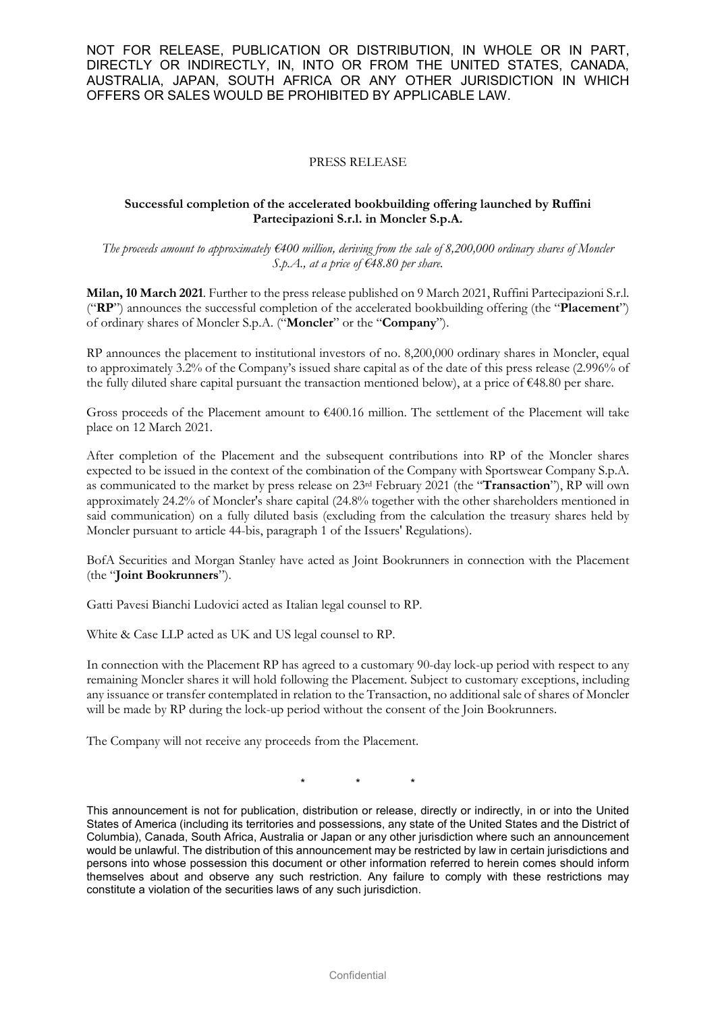NOT FOR RELEASE, PUBLICATION OR DISTRIBUTION, IN WHOLE OR IN PART, DIRECTLY OR INDIRECTLY, IN, INTO OR FROM THE UNITED STATES, CANADA, AUSTRALIA, JAPAN, SOUTH AFRICA OR ANY OTHER JURISDICTION IN WHICH OFFERS OR SALES WOULD BE PROHIBITED BY APPLICABLE LAW.

## PRESS RELEASE

## **Successful completion of the accelerated bookbuilding offering launched by Ruffini Partecipazioni S.r.l. in Moncler S.p.A.**

*The proceeds amount to approximately €400 million, deriving from the sale of 8,200,000 ordinary shares of Moncler S.p.A., at a price of €48.80 per share.*

**Milan, 10 March 2021**. Further to the press release published on 9 March 2021, Ruffini Partecipazioni S.r.l. ("**RP**") announces the successful completion of the accelerated bookbuilding offering (the "**Placement**") of ordinary shares of Moncler S.p.A. ("**Moncler**" or the "**Company**").

RP announces the placement to institutional investors of no. 8,200,000 ordinary shares in Moncler, equal to approximately 3.2% of the Company's issued share capital as of the date of this press release (2.996% of the fully diluted share capital pursuant the transaction mentioned below), at a price of €48.80 per share.

Gross proceeds of the Placement amount to €400.16 million. The settlement of the Placement will take place on 12 March 2021.

After completion of the Placement and the subsequent contributions into RP of the Moncler shares expected to be issued in the context of the combination of the Company with Sportswear Company S.p.A. as communicated to the market by press release on 23rd February 2021 (the "**Transaction**"), RP will own approximately 24.2% of Moncler's share capital (24.8% together with the other shareholders mentioned in said communication) on a fully diluted basis (excluding from the calculation the treasury shares held by Moncler pursuant to article 44-bis, paragraph 1 of the Issuers' Regulations).

BofA Securities and Morgan Stanley have acted as Joint Bookrunners in connection with the Placement (the "**Joint Bookrunners**").

Gatti Pavesi Bianchi Ludovici acted as Italian legal counsel to RP.

White & Case LLP acted as UK and US legal counsel to RP.

In connection with the Placement RP has agreed to a customary 90-day lock-up period with respect to any remaining Moncler shares it will hold following the Placement. Subject to customary exceptions, including any issuance or transfer contemplated in relation to the Transaction, no additional sale of shares of Moncler will be made by RP during the lock-up period without the consent of the Join Bookrunners.

The Company will not receive any proceeds from the Placement.

\* \* \*

This announcement is not for publication, distribution or release, directly or indirectly, in or into the United States of America (including its territories and possessions, any state of the United States and the District of Columbia), Canada, South Africa, Australia or Japan or any other jurisdiction where such an announcement would be unlawful. The distribution of this announcement may be restricted by law in certain jurisdictions and persons into whose possession this document or other information referred to herein comes should inform themselves about and observe any such restriction. Any failure to comply with these restrictions may constitute a violation of the securities laws of any such jurisdiction.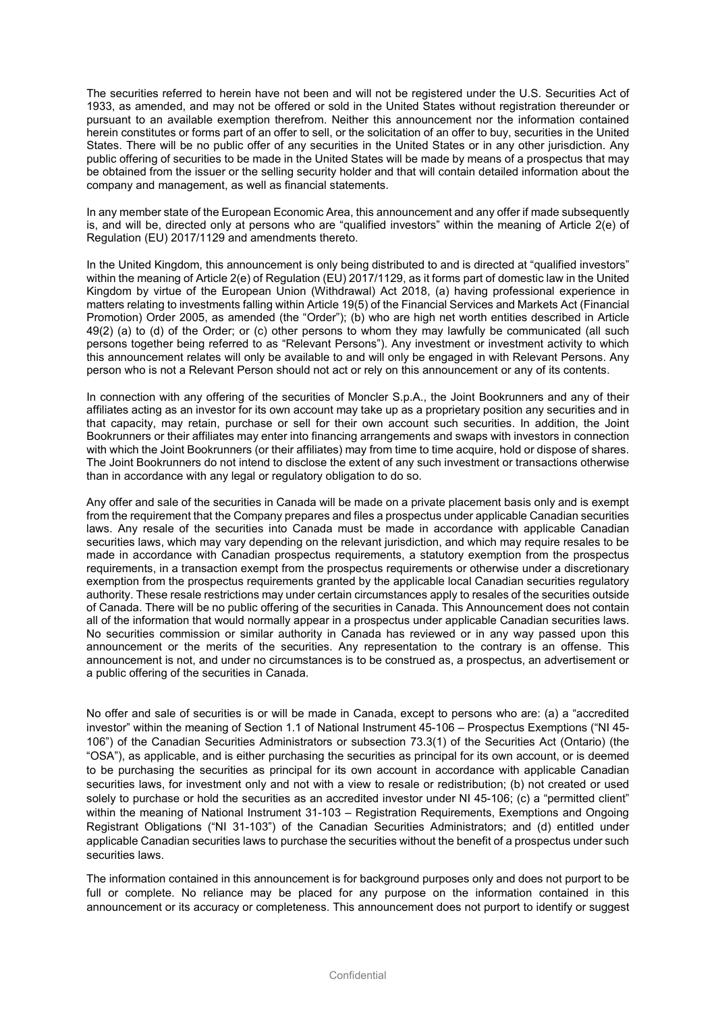The securities referred to herein have not been and will not be registered under the U.S. Securities Act of 1933, as amended, and may not be offered or sold in the United States without registration thereunder or pursuant to an available exemption therefrom. Neither this announcement nor the information contained herein constitutes or forms part of an offer to sell, or the solicitation of an offer to buy, securities in the United States. There will be no public offer of any securities in the United States or in any other jurisdiction. Any public offering of securities to be made in the United States will be made by means of a prospectus that may be obtained from the issuer or the selling security holder and that will contain detailed information about the company and management, as well as financial statements.

In any member state of the European Economic Area, this announcement and any offer if made subsequently is, and will be, directed only at persons who are "qualified investors" within the meaning of Article 2(e) of Regulation (EU) 2017/1129 and amendments thereto.

In the United Kingdom, this announcement is only being distributed to and is directed at "qualified investors" within the meaning of Article 2(e) of Regulation (EU) 2017/1129, as it forms part of domestic law in the United Kingdom by virtue of the European Union (Withdrawal) Act 2018, (a) having professional experience in matters relating to investments falling within Article 19(5) of the Financial Services and Markets Act (Financial Promotion) Order 2005, as amended (the "Order"); (b) who are high net worth entities described in Article 49(2) (a) to (d) of the Order; or (c) other persons to whom they may lawfully be communicated (all such persons together being referred to as "Relevant Persons"). Any investment or investment activity to which this announcement relates will only be available to and will only be engaged in with Relevant Persons. Any person who is not a Relevant Person should not act or rely on this announcement or any of its contents.

In connection with any offering of the securities of Moncler S.p.A., the Joint Bookrunners and any of their affiliates acting as an investor for its own account may take up as a proprietary position any securities and in that capacity, may retain, purchase or sell for their own account such securities. In addition, the Joint Bookrunners or their affiliates may enter into financing arrangements and swaps with investors in connection with which the Joint Bookrunners (or their affiliates) may from time to time acquire, hold or dispose of shares. The Joint Bookrunners do not intend to disclose the extent of any such investment or transactions otherwise than in accordance with any legal or regulatory obligation to do so.

Any offer and sale of the securities in Canada will be made on a private placement basis only and is exempt from the requirement that the Company prepares and files a prospectus under applicable Canadian securities laws. Any resale of the securities into Canada must be made in accordance with applicable Canadian securities laws, which may vary depending on the relevant jurisdiction, and which may require resales to be made in accordance with Canadian prospectus requirements, a statutory exemption from the prospectus requirements, in a transaction exempt from the prospectus requirements or otherwise under a discretionary exemption from the prospectus requirements granted by the applicable local Canadian securities regulatory authority. These resale restrictions may under certain circumstances apply to resales of the securities outside of Canada. There will be no public offering of the securities in Canada. This Announcement does not contain all of the information that would normally appear in a prospectus under applicable Canadian securities laws. No securities commission or similar authority in Canada has reviewed or in any way passed upon this announcement or the merits of the securities. Any representation to the contrary is an offense. This announcement is not, and under no circumstances is to be construed as, a prospectus, an advertisement or a public offering of the securities in Canada.

No offer and sale of securities is or will be made in Canada, except to persons who are: (a) a "accredited investor" within the meaning of Section 1.1 of National Instrument 45-106 – Prospectus Exemptions ("NI 45- 106") of the Canadian Securities Administrators or subsection 73.3(1) of the Securities Act (Ontario) (the "OSA"), as applicable, and is either purchasing the securities as principal for its own account, or is deemed to be purchasing the securities as principal for its own account in accordance with applicable Canadian securities laws, for investment only and not with a view to resale or redistribution; (b) not created or used solely to purchase or hold the securities as an accredited investor under NI 45-106; (c) a "permitted client" within the meaning of National Instrument 31-103 – Registration Requirements, Exemptions and Ongoing Registrant Obligations ("NI 31-103") of the Canadian Securities Administrators; and (d) entitled under applicable Canadian securities laws to purchase the securities without the benefit of a prospectus under such securities laws.

The information contained in this announcement is for background purposes only and does not purport to be full or complete. No reliance may be placed for any purpose on the information contained in this announcement or its accuracy or completeness. This announcement does not purport to identify or suggest